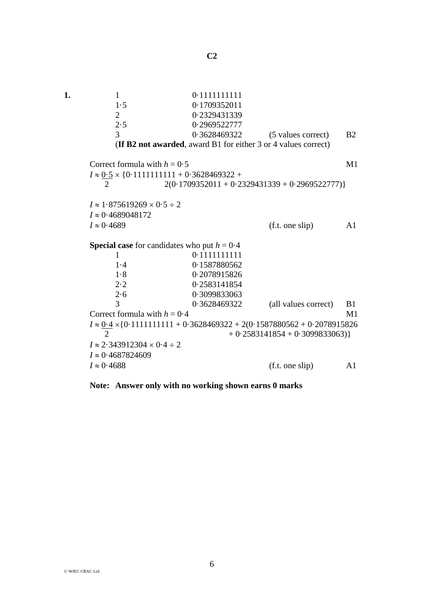| 1. | $\mathbf{1}$                                                                                                   | 0.1111111111 |                                 |           |  |  |  |
|----|----------------------------------------------------------------------------------------------------------------|--------------|---------------------------------|-----------|--|--|--|
|    | 1.5                                                                                                            | 0.1709352011 |                                 |           |  |  |  |
|    | $\overline{2}$                                                                                                 | 0.2329431339 |                                 |           |  |  |  |
|    | 2.5                                                                                                            | 0.2969522777 |                                 |           |  |  |  |
|    | $\overline{3}$                                                                                                 | 0.3628469322 | (5 values correct)              | <b>B2</b> |  |  |  |
|    | (If B2 not awarded, award B1 for either 3 or 4 values correct)                                                 |              |                                 |           |  |  |  |
|    | Correct formula with $h = 0.5$                                                                                 |              |                                 |           |  |  |  |
|    |                                                                                                                |              |                                 |           |  |  |  |
|    | $I \approx 0.5 \times \{0.1111111111 + 0.3628469322 +$<br>$2(0.1709352011 + 0.2329431339 + 0.2969522777)$<br>2 |              |                                 |           |  |  |  |
|    |                                                                                                                |              |                                 |           |  |  |  |
|    | $I \approx 1.875619269 \times 0.5 \div 2$                                                                      |              |                                 |           |  |  |  |
|    | $I \approx 0.4689048172$                                                                                       |              |                                 |           |  |  |  |
|    | $I \approx 0.4689$                                                                                             |              | (f.t. one slip)                 | A1        |  |  |  |
|    |                                                                                                                |              |                                 |           |  |  |  |
|    | <b>Special case</b> for candidates who put $h = 0.4$                                                           |              |                                 |           |  |  |  |
|    | $\mathbf{1}$                                                                                                   | 0.1111111111 |                                 |           |  |  |  |
|    | 1.4                                                                                                            | 0.1587880562 |                                 |           |  |  |  |
|    | 1.8                                                                                                            | 0.2078915826 |                                 |           |  |  |  |
|    | 2.2                                                                                                            | 0.2583141854 |                                 |           |  |  |  |
|    | 2.6                                                                                                            | 0.3099833063 |                                 |           |  |  |  |
|    | 3                                                                                                              | 0.3628469322 | (all values correct)            | B1<br>M1  |  |  |  |
|    | Correct formula with $h = 0.4$                                                                                 |              |                                 |           |  |  |  |
|    | $I \approx 0.4 \times \{0.111111111 + 0.3628469322 + 2(0.1587880562 + 0.2078915826$                            |              |                                 |           |  |  |  |
|    | $\mathcal{D}_{\mathcal{L}}$                                                                                    |              | $+0.2583141854 + 0.3099833063)$ |           |  |  |  |
|    | $I \approx 2.343912304 \times 0.4 \div 2$                                                                      |              |                                 |           |  |  |  |
|    | $I \approx 0.4687824609$                                                                                       |              |                                 |           |  |  |  |
|    | $I \approx 0.4688$                                                                                             |              | (f.t. one slip)                 | A1        |  |  |  |

**Note: Answer only with no working shown earns 0 marks**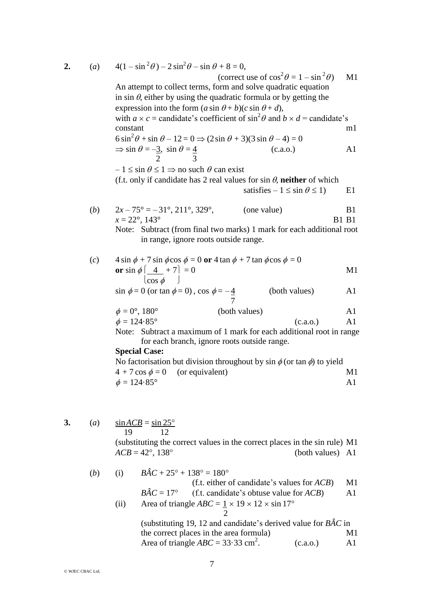2. (a) 
$$
4(1-\sin^2\theta) - 2\sin^2\theta - \sin\theta + 8 = 0
$$
, (correct use of  $\cos^2\theta = 1 - \sin^2\theta$ ) MI  
\nAn attempt to collect terms, form and solve quadratic equation  
\nin sin  $\theta$ , either by using the quadratic formula or by getting the  
\nexpression into the form ( $a \sin \theta + b$ )/ $(c \sin \theta + d)$ ,  
\nwith  $a \times c$  = candidate's coefficient of  $\sin^2\theta$  and  $b \times d$  = candidate's  
\nconstant  
\n6  $\sin^2\theta + \sin \theta - 12 = 0 \Rightarrow (2 \sin \theta + 3)(3 \sin \theta - 4) = 0$   
\n $\Rightarrow \sin \theta = -\frac{3}{2}$ ,  $\sin \theta = \frac{4}{2}$   
\n $-1 \le \sin \theta \le 1 \Rightarrow$  no such  $\theta$  can exist  
\n(f.t. only if candidate has 2 real values for sin  $\theta$ , neither of which  
\nsatisfies  $-1 \le \sin \theta \le 1$ ) El  
\n(b)  $2x-75^\circ = -31^\circ, 211^\circ, 329^\circ$ , (one value)  
\n $x = 22^\circ, 143^\circ$  B1 B1  
\nNote: Subtract (from final two marks) 1 mark for each additional root  
\nin range, ignore roots outside range.  
\n(c)  $4 \sin \phi + 7 \sin \phi \cos \phi = 0$  or  $4 \tan \phi + 7 \tan \phi \cos \phi = 0$   
\nor  $\sin \phi \left[\frac{4}{\cos \phi} + 7 \right] = 0$   
\n $\sin \phi = 0$  (or tan  $\phi = 0$ ),  $\cos \phi = -\frac{4}{7}$  (both values)  
\n $\phi = 124.85^\circ$  (both values)  
\n $\phi = 124.85^\circ$   
\nNote: Subtract a maximum of 1 mark for each additional root in range  
\nfor each branch, ignore roots outside range.  
\n**Special Case:**  
\nNo factorisation but division throughout by  $\sin \phi$  (or tan  $\phi$  to yield  
\n $4 + 7 \cos \phi = 0$  (or equivalent)  
\n $\phi = 124.85^\circ$   
\n13. (a)  $\frac{\sin ACB$ 

(i) 
$$
BC + 23 + 136 = 160
$$
  
\n(f.t. either of candidate's values for *ACB*) M1  
\n $B\hat{A}C = 17^{\circ}$  (f.t. candidate's obtuse value for *ACB*) A1  
\n $Area of triangle ABC = 1 \times 19 \times 12 \times \sin 17^{\circ}$   
\n $2$   
\n(substituting 19, 12 and candidate's derived value for *B\hat{A}C* in  
\nthe correct places in the area formula)  
\nArea of triangle *ABC* = 33.33 cm<sup>2</sup>. (c.a.o.) A1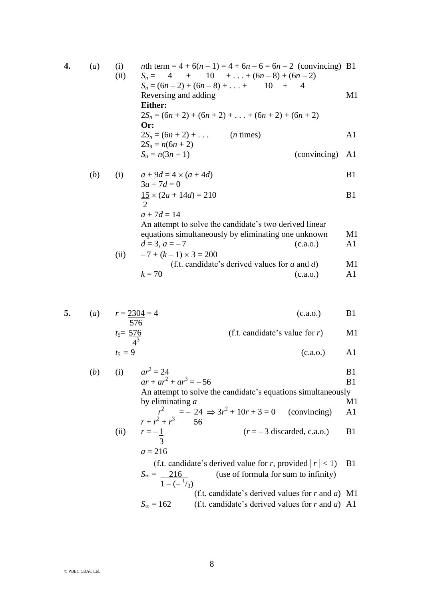4. (a) (i) *n*th term = 4 + 6(*n* - 1) = 4 + 6*n* - 6 = 6*n* - 2 (convincing) B1  
\n(ii) 
$$
S_n = 4 + 10 + ... + (6n - 8) + (6n - 2)
$$
  
\n $S_n = (6n - 2) + (6n - 8) + ... + 10 + 4$   
\nReversing and adding  
\n**Either:**  
\n $2S_n = (6n + 2) + (6n + 2) + ... + (6n + 2) + (6n + 2)$   
\nOr:  
\n $2S_n = (6n + 2) + ...$  (*n* times)  
\n $2S_n = n(6n + 2)$   
\n $S_n = n(3n + 1)$   
\n(b) (i)  $a + 9d = 4 \times (a + 4d)$   
\n $3a + 7d = 0$   
\n $15 \times (2a + 14d) = 210$  B1

$$
3a + 7d = 0\n15 × (2a + 14d) = 210
$$
 B1

$$
a+7d=14
$$

An attempt to solve the candidate's two derived linear equations simultaneously by eliminating one unknown M1  $d = 3, a = -7$  (c.a.o.) A1

(ii) 
$$
-7 + (k-1) \times 3 = 200
$$
  
\n(f.t. candidate's derived values for *a* and *d*)  
\n(*k* = 70) (c.a.o.)

5. (a) 
$$
r = \frac{2304}{576} = 4
$$
 (c.a.o.) B1  
\n $t_5 = \frac{576}{576}$  (f.t. candidate's value for r) M1

$$
\frac{4^3}{4^3} \tag{c.a.o.} A1
$$

(b) (i) 
$$
ar^2 = 24
$$
  
\t $ar + ar^2 + ar^3 = -56$   
\tAn attempt to solve the candidate's equations simultaneously  
\tby eliminating *a*  
\t $\frac{r^2}{r + r^2 + r^3} = -\frac{24}{56} \Rightarrow 3r^2 + 10r + 3 = 0$  (convincing) A1  
\t $\frac{r^2}{r - 1} = -\frac{1}{3}$   
\t $a = 216$   
\t $\frac{r}{1 - (-\frac{1}{3})}$   
\t $S_\infty = \frac{216}{1 - (-\frac{1}{3})}$  (use of formula for sum to infinity)  
\t $S_\infty = 162$  (f.t. candidate's derived values for *r* and *a*) M1  
\t $S_\infty = 162$  (f.t. candidate's derived values for *r* and *a*) A1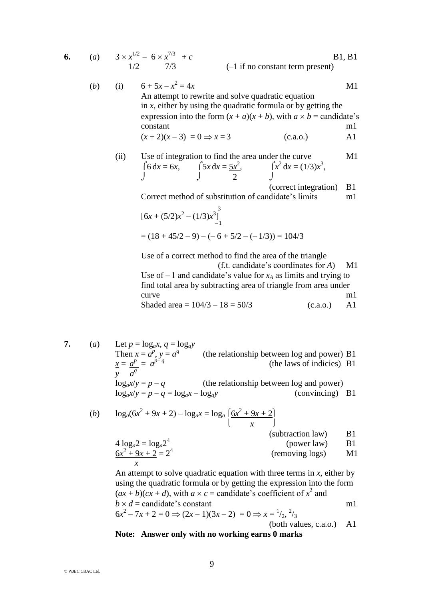6. (a) 
$$
3 \times \frac{x^{1/2}}{1/2} - 6 \times \frac{x^{7/3}}{7/3} + c
$$
 [B1, B1]  
\n(b) (i)  $6 + 5x - x^2 = 4x$    
\nAn attempt to rewrite and solve quadratic equation  
\nin *x*, either by using the quadratic formula or by getting the  
\nexpression into the form  $(x + a)(x + b)$ , with  $a \times b$  = candidate's  
\nconstant   
\n $(x + 2)(x - 3) = 0 \Rightarrow x = 3$    
\n(c.a.o.)   
\nA1

(ii) Use of integration to find the area under the curve M1  $\int 6 \, dx = 6x, \qquad \int 5x \, dx = 5x^2, \qquad \int x$  $^{2} dx = (1/3)x^{3}$ ,  $\int$   $\int$  2  $\int$ 

(correct integration) B1

Correct method of substitution of candidate's limits m1

$$
[6x + (5/2)x2 - (1/3)x3]-1 = (18 + 45/2 - 9) - (-6 + 5/2 - (-1/3)) = 104/3
$$

Use of a correct method to find the area of the triangle (f.t. candidate's coordinates for *A*) M1

Use of  $-1$  and candidate's value for  $x_A$  as limits and trying to find total area by subtracting area of triangle from area under curve m1

Shaded area =  $104/3 - 18 = 50/3$  (c.a.o.) A1

7. (a) Let 
$$
p = \log_a x
$$
,  $q = \log_a y$   
\nThen  $x = a^p$ ,  $y = a^q$  (the relationship between log and power) B1  
\n $\frac{x}{y} = \frac{a^p}{a^q} = a^{p-q}$  (the relationship between log and power)  
\n $\log_a x/y = p - q$  (the relationship between log and power)  
\n $\log_a x/y = p - q = \log_a x - \log_a y$  (convincing) B1

(b) 
$$
\log_a(6x^2 + 9x + 2) - \log_a x = \log_a \left(\frac{6x^2 + 9x + 2}{x}\right)
$$
 (subtraction law) B1

$$
4 \log_a 2 = \log_a 2^4
$$
 (power law)  
\n
$$
\frac{6x^2 + 9x + 2}{x} = 2^4
$$
 (power law)  
\n
$$
51
$$
 (removing logs)  
\n
$$
61
$$

An attempt to solve quadratic equation with three terms in  $x$ , either by using the quadratic formula or by getting the expression into the form  $(ax + b)(cx + d)$ , with  $a \times c$  = candidate's coefficient of  $x^2$  and  $b \times d$  = candidate's constant m1  $6x^2 - 7x + 2 = 0 \Rightarrow (2x - 1)(3x - 2) = 0 \Rightarrow x = \frac{1}{2}, \frac{2}{3}$ 

(both values, c.a.o.) A1

## **Note: Answer only with no working earns 0 marks**